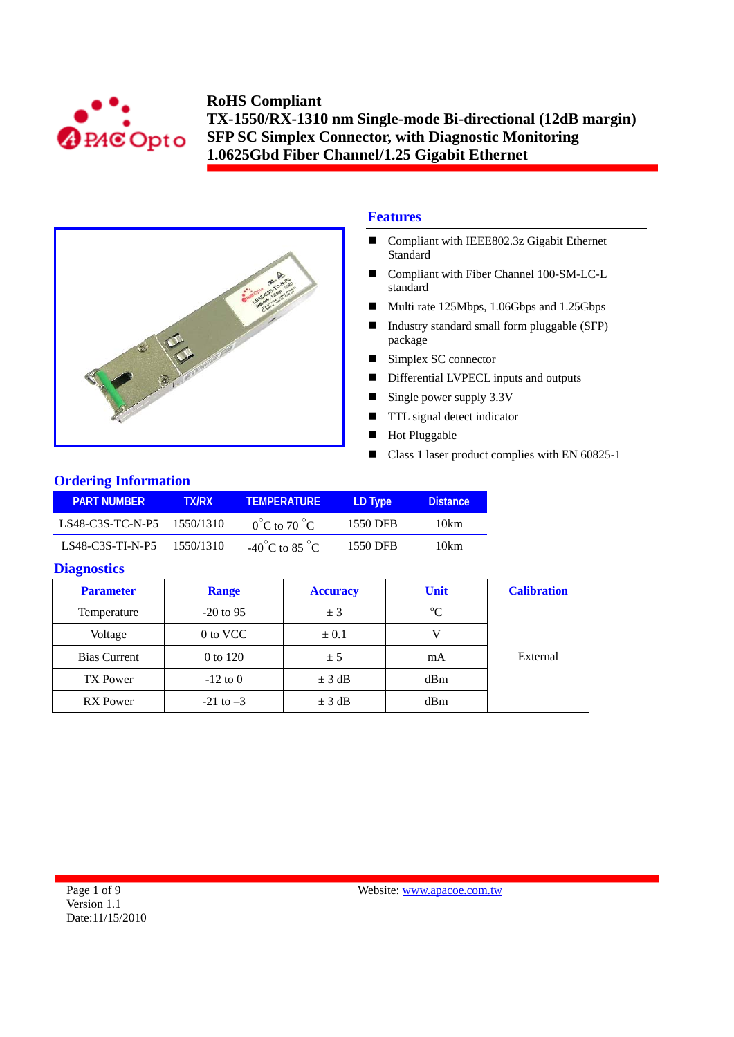



# **Features**

- Compliant with IEEE802.3z Gigabit Ethernet Standard
- Compliant with Fiber Channel 100-SM-LC-L standard
- Multi rate 125Mbps, 1.06Gbps and 1.25Gbps
- Industry standard small form pluggable (SFP) package
- Simplex SC connector
- Differential LVPECL inputs and outputs
- Single power supply  $3.3V$
- **TTL** signal detect indicator
- Hot Pluggable
- Class 1 laser product complies with EN 60825-1

## **Ordering Information**

| <b>PART NUMBER</b>         | TX/RX     | <b>TEMPERATURE</b>                      | LD Type  | <b>Distance</b> |
|----------------------------|-----------|-----------------------------------------|----------|-----------------|
| LS48-C3S-TC-N-P5 1550/1310 |           | $0^{\circ}$ C to 70 $^{\circ}$ C        | 1550 DFB | 10km            |
| $LS48-C3S-TI-N-P5$         | 1550/1310 | -40 <sup>°</sup> C to 85 <sup>°</sup> C | 1550 DFB | 10km            |

## **Diagnostics**

| <b>Parameter</b>    | <b>Range</b>  | <b>Accuracy</b> | <b>Unit</b> | <b>Calibration</b> |
|---------------------|---------------|-----------------|-------------|--------------------|
| Temperature         | $-20$ to 95   | ± 3             | $\rm ^{o}C$ |                    |
| Voltage             | 0 to VCC      | $\pm 0.1$       |             |                    |
| <b>Bias Current</b> | 0 to 120      | ± 5             | mA          | External           |
| <b>TX Power</b>     | $-12$ to 0    | $\pm$ 3 dB      | dBm         |                    |
| <b>RX</b> Power     | $-21$ to $-3$ | $\pm$ 3 dB      | dBm         |                    |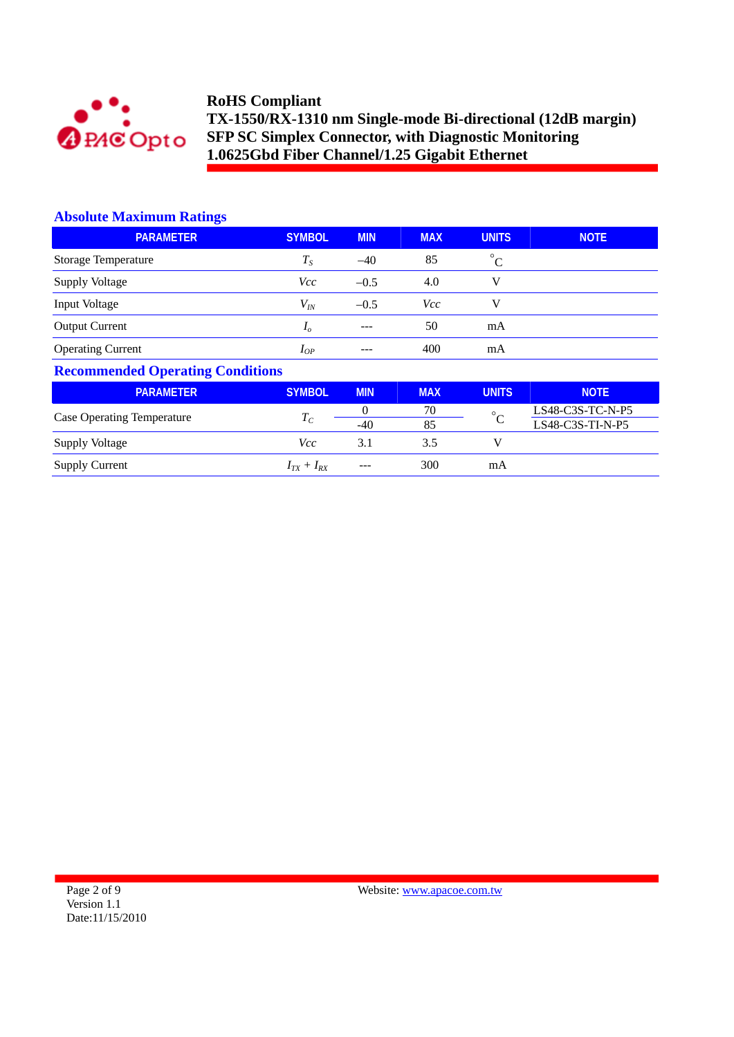

## **Absolute Maximum Ratings**

| <b>PARAMETER</b>         | <b>SYMBOL</b>  | <b>MIN</b> | <b>MAX</b> | <b>UNITS</b> | <b>NOTE</b> |
|--------------------------|----------------|------------|------------|--------------|-------------|
| Storage Temperature      | $T_S$          | $-40$      | 85         | $^{\circ}C$  |             |
| Supply Voltage           | Vcc            | $-0.5$     | 4.0        | V            |             |
| Input Voltage            | $V_{I\!N}$     | $-0.5$     | Vcc        | V            |             |
|                          | I <sub>o</sub> | $- - -$    | 50         | mA           |             |
| <b>Operating Current</b> | $I_{OP}$       | ---        | 400        | mA           |             |
| <b>Output Current</b>    |                |            |            |              |             |

# **Recommended Operating Conditions**

| <b>PARAMETER</b>                  | <b>SYMBOL</b>     | <b>MIN</b> | <b>MAX</b> | <b>UNITS</b> | <b>NOTE</b>        |
|-----------------------------------|-------------------|------------|------------|--------------|--------------------|
|                                   |                   |            | 70         | $\circ$      | $LS48-C3S-TC-N-P5$ |
| <b>Case Operating Temperature</b> | $T_{C}$           | $-40$      | 85         |              | $LS48-C3S-TI-N-P5$ |
| <b>Supply Voltage</b>             | Vcc               | 3.1        | 3.5        |              |                    |
| <b>Supply Current</b>             | $I_{TX} + I_{RX}$ | $---$      | 300        | mA           |                    |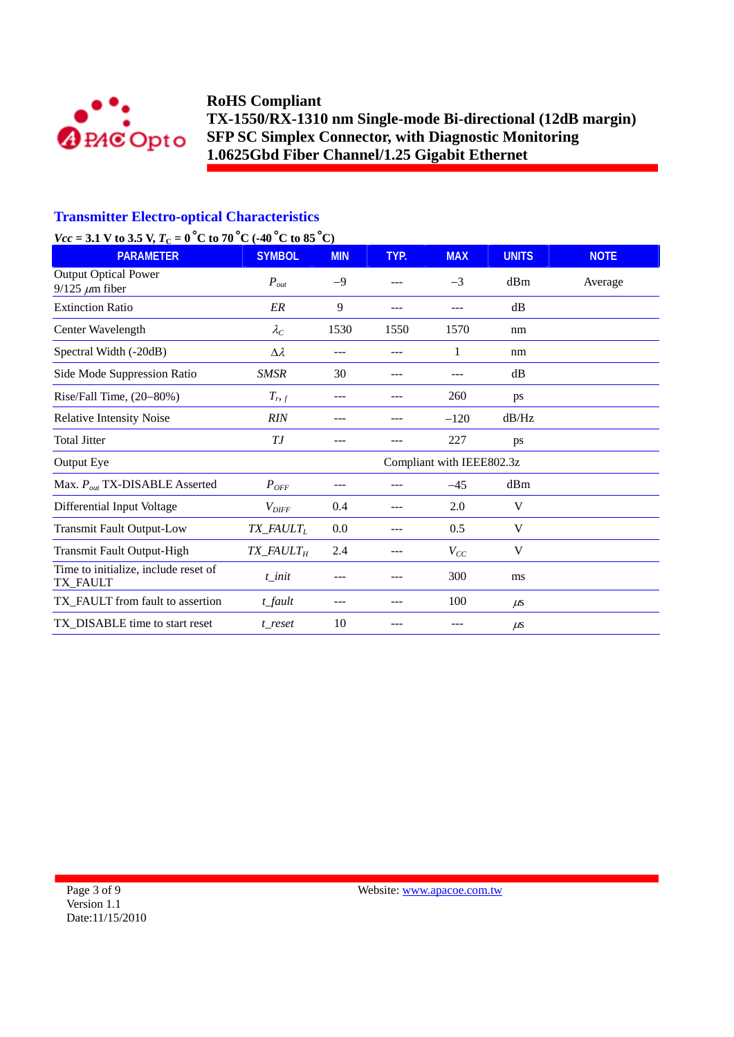

## **Transmitter Electro-optical Characteristics**

# *Vcc* = 3.1 V to 3.5 V,  $T_c = 0^\circ \text{C}$  to 70  $^{\circ} \text{C}$  (-40  $^{\circ} \text{C}$  to 85  $^{\circ} \text{C}$ )

| $\sqrt{2}$<br>- 0 0 00 1 0 0 1<br><b>PARAMETER</b>   | <b>SYMBOL</b>                         | <b>MIN</b> | TYP. | <b>MAX</b>                | <b>UNITS</b> | <b>NOTE</b> |
|------------------------------------------------------|---------------------------------------|------------|------|---------------------------|--------------|-------------|
| <b>Output Optical Power</b><br>$9/125 \ \mu m$ fiber | $P_{out}$                             | $-9$       |      | $-3$                      | dBm          | Average     |
| <b>Extinction Ratio</b>                              | ER                                    | 9          | ---  |                           | dB           |             |
| Center Wavelength                                    | $\lambda_C$                           | 1530       | 1550 | 1570                      | nm           |             |
| Spectral Width (-20dB)                               | $\Delta \lambda$                      | ---        | ---  | 1                         | nm           |             |
| Side Mode Suppression Ratio                          | SMSR                                  | 30         | ---  | ---                       | dB           |             |
| Rise/Fall Time, (20-80%)                             | $T_{r,f}$                             | ---        | ---  | 260                       | ps           |             |
| <b>Relative Intensity Noise</b>                      | <b>RIN</b>                            |            |      | $-120$                    | dB/Hz        |             |
| <b>Total Jitter</b>                                  | ТJ                                    |            |      | 227                       | ps           |             |
| Output Eye                                           |                                       |            |      | Compliant with IEEE802.3z |              |             |
| Max. $P_{out}$ TX-DISABLE Asserted                   | $P_{OFF}$                             | ---        | ---  | $-45$                     | dBm          |             |
| Differential Input Voltage                           | $V_{\text{DIFF}}$                     | 0.4        | ---  | 2.0                       | V            |             |
| <b>Transmit Fault Output-Low</b>                     | $TX$ <sub>_FAULT<sub>L</sub></sub>    | 0.0        | ---  | 0.5                       | V            |             |
| <b>Transmit Fault Output-High</b>                    | $TX$ <sub>_FAULT<math>_H</math></sub> | 2.4        | ---  | $V_{CC}$                  | V            |             |
| Time to initialize, include reset of<br>TX_FAULT     | $t$ _init                             | ---        |      | 300                       | ms           |             |
| TX_FAULT from fault to assertion                     | t fault                               | ---        | ---  | 100                       | $\mu$ s      |             |
| TX_DISABLE time to start reset                       | t reset                               | 10         | ---  | ---                       | $\mu$ s      |             |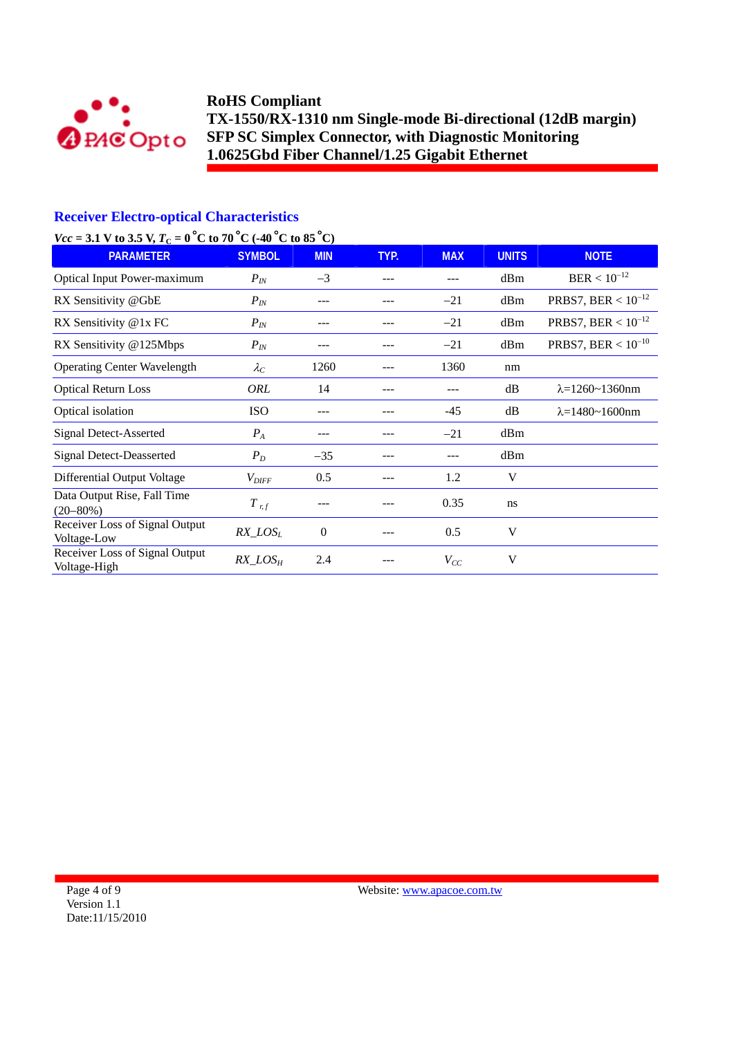

## **Receiver Electro-optical Characteristics**

# *Vcc* = 3.1 V to 3.5 V,  $T_c = 0^\circ$ C to 70 °C (-40 °C to 85 °C)

| <b>PARAMETER</b>                               | <b>SYMBOL</b>     | <b>MIN</b>     | TYP. | <b>MAX</b> | <b>UNITS</b> | <b>NOTE</b>                |
|------------------------------------------------|-------------------|----------------|------|------------|--------------|----------------------------|
| <b>Optical Input Power-maximum</b>             | $P_{I\!N}$        | $-3$           | ---  |            | dBm          | $BER < 10^{-12}$           |
| RX Sensitivity @GbE                            | $P_{IN}$          | ---            | ---  | $-21$      | dBm          | PRBS7, BER < $10^{-12}$    |
| RX Sensitivity @1x FC                          | $P_{IN}$          | ---            | ---  | $-21$      | dBm          | PRBS7, BER < $10^{-12}$    |
| RX Sensitivity @125Mbps                        | $P_{IN}$          |                |      | $-21$      | dBm          | PRBS7, BER < $10^{-10}$    |
| <b>Operating Center Wavelength</b>             | $\lambda_C$       | 1260           | ---  | 1360       | nm           |                            |
| <b>Optical Return Loss</b>                     | ORL               | 14             | ---  | ---        | dB           | $\lambda = 1260 - 1360$ nm |
| Optical isolation                              | <b>ISO</b>        | ---            | ---  | $-45$      | dB           | $\lambda = 1480 - 1600$ nm |
| <b>Signal Detect-Asserted</b>                  | $P_A$             | ---            |      | $-21$      | dBm          |                            |
| <b>Signal Detect-Deasserted</b>                | $P_D$             | $-35$          | ---  | ---        | dBm          |                            |
| Differential Output Voltage                    | $V_{\text{DIFF}}$ | 0.5            |      | 1.2        | V            |                            |
| Data Output Rise, Fall Time<br>$(20 - 80\%)$   | $T$ r, f          |                |      | 0.35       | ns           |                            |
| Receiver Loss of Signal Output<br>Voltage-Low  | $RX\_LOS_L$       | $\overline{0}$ |      | 0.5        | V            |                            |
| Receiver Loss of Signal Output<br>Voltage-High | $RX\_LOS_H$       | 2.4            |      | $V_{CC}$   | V            |                            |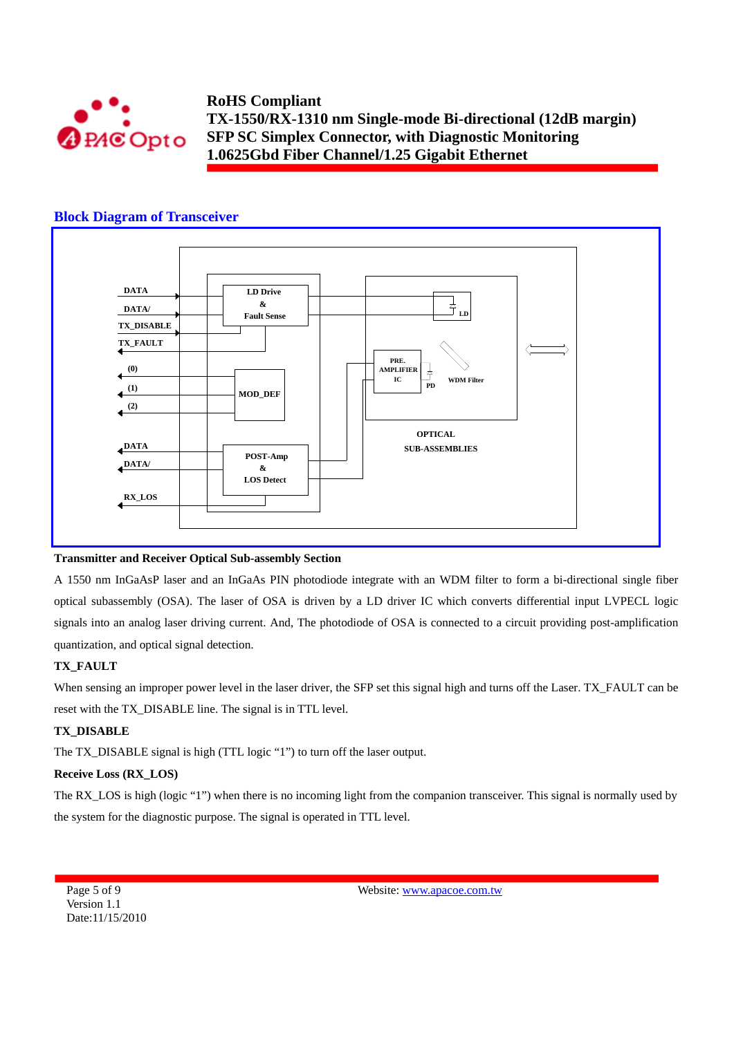

## **Block Diagram of Transceiver**



#### **Transmitter and Receiver Optical Sub-assembly Section**

A 1550 nm InGaAsP laser and an InGaAs PIN photodiode integrate with an WDM filter to form a bi-directional single fiber optical subassembly (OSA). The laser of OSA is driven by a LD driver IC which converts differential input LVPECL logic signals into an analog laser driving current. And, The photodiode of OSA is connected to a circuit providing post-amplification quantization, and optical signal detection.

#### **TX\_FAULT**

When sensing an improper power level in the laser driver, the SFP set this signal high and turns off the Laser. TX\_FAULT can be reset with the TX\_DISABLE line. The signal is in TTL level.

#### **TX\_DISABLE**

The TX\_DISABLE signal is high (TTL logic "1") to turn off the laser output.

#### **Receive Loss (RX\_LOS)**

The RX\_LOS is high (logic "1") when there is no incoming light from the companion transceiver. This signal is normally used by the system for the diagnostic purpose. The signal is operated in TTL level.

Page 5 of 9 Version 1.1 Date:11/15/2010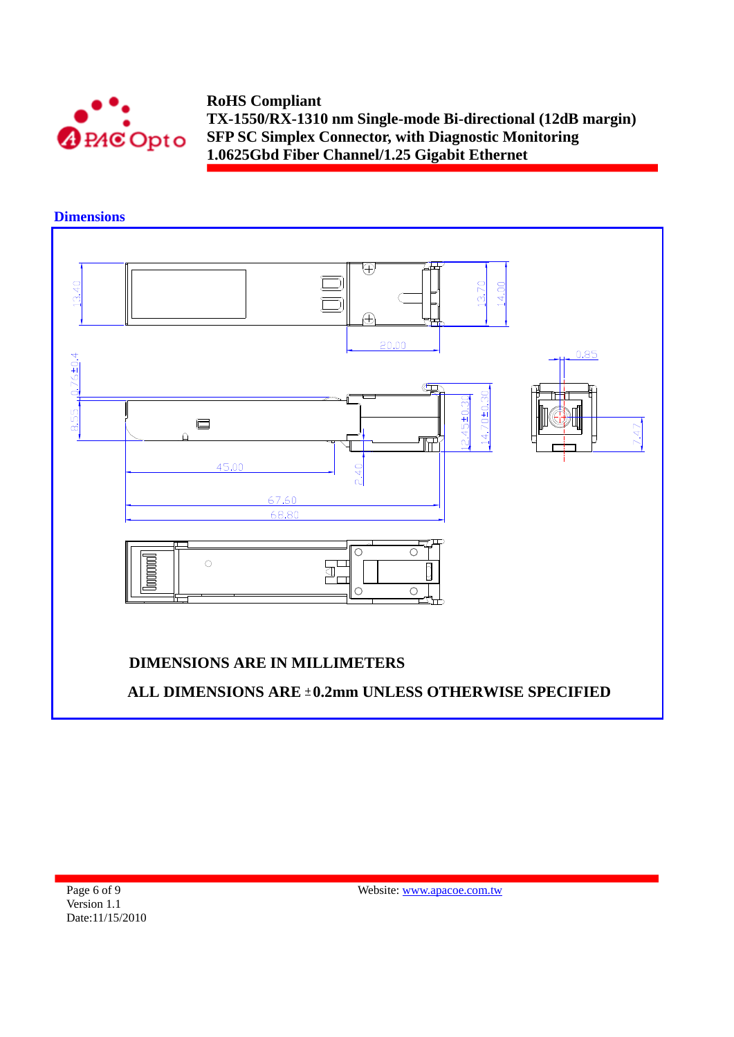

**Dimensions**   $\overline{\oplus}$  $13.40$  $13.70$ 14.00 Æ  $20.00$  $0.85$  $8.55_{-1.0}76 \pm 0.4$  $\overline{\mathbb{C}}$  $14.70 \pm 0.30$  $2.45 \pm 0.30$  $\Box$  $7.47$  $\mathbb{H}$ 45.00  $2.40$ 67.60 68.80  $\overline{\circ}$  $\overline{\circ}$  $\circ$ **Normal** a<br>T Ô  $\circ$  $\circ$ **DIMENSIONS ARE IN MILLIMETERS**ALL DIMENSIONS ARE ±0.2mm UNLESS OTHERWISE SPECIFIED

Page 6 of 9 Version 1.1 Date:11/15/2010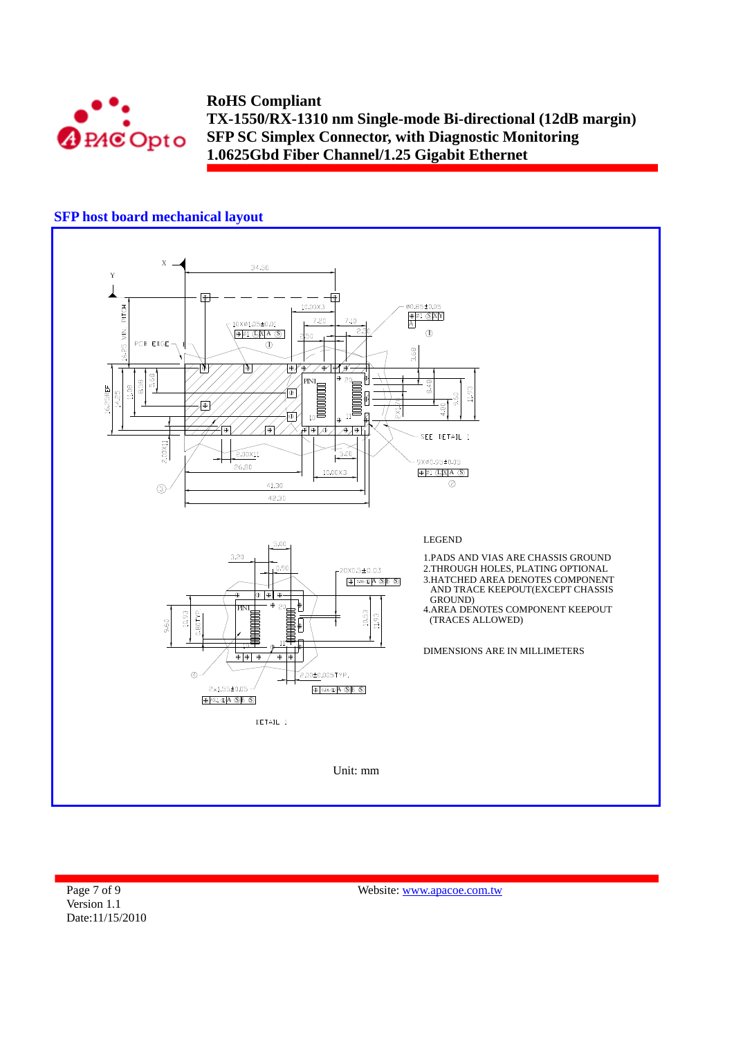

## **SFP host board mechanical layout**



Page 7 of 9 Version 1.1 Date:11/15/2010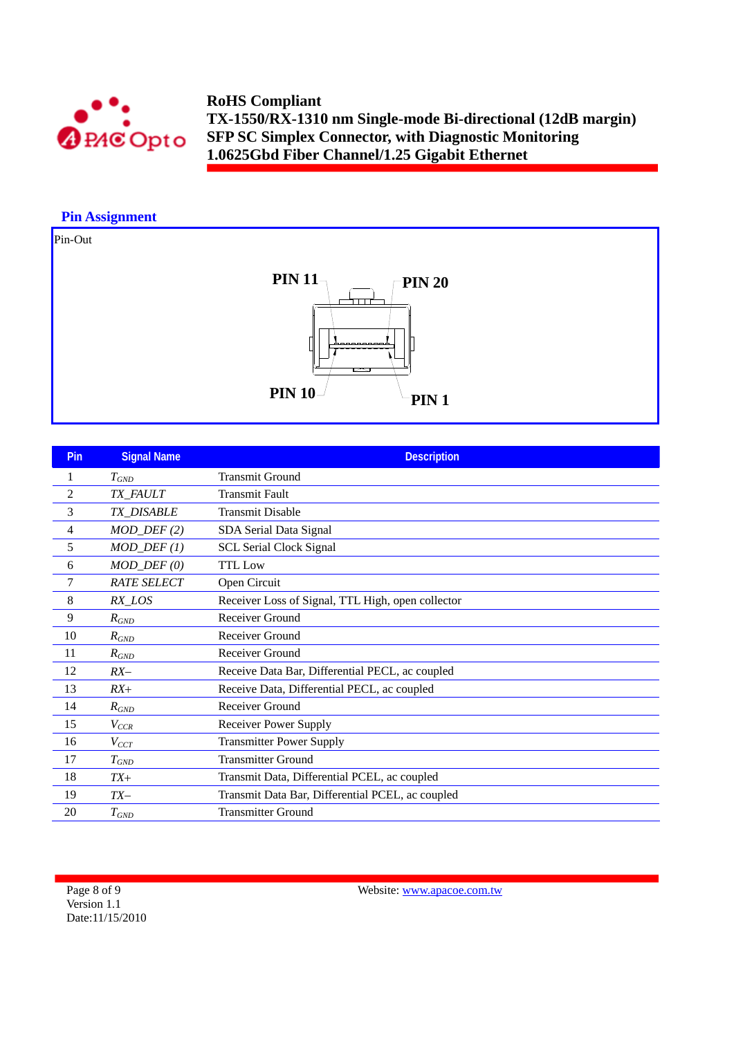

## **Pin Assignment**

## Pin-Out



| Pin | <b>Signal Name</b>      | <b>Description</b>                                |
|-----|-------------------------|---------------------------------------------------|
| 1   | $T_{GND}$               | <b>Transmit Ground</b>                            |
| 2   | TX_FAULT                | <b>Transmit Fault</b>                             |
| 3   | TX_DISABLE              | <b>Transmit Disable</b>                           |
| 4   | $MOD_$ DEF(2)           | SDA Serial Data Signal                            |
| 5   | $MOD_$ <i>DEF</i> $(1)$ | <b>SCL Serial Clock Signal</b>                    |
| 6   | $MOD_$ $DEF (0)$        | <b>TTL</b> Low                                    |
| 7   | <b>RATE SELECT</b>      | Open Circuit                                      |
| 8   | RX_LOS                  | Receiver Loss of Signal, TTL High, open collector |
| 9   | $R_{GND}$               | Receiver Ground                                   |
| 10  | $R_{GND}$               | Receiver Ground                                   |
| 11  | $R_{GND}$               | Receiver Ground                                   |
| 12  | $RX-$                   | Receive Data Bar, Differential PECL, ac coupled   |
| 13  | $RX+$                   | Receive Data, Differential PECL, ac coupled       |
| 14  | $R_{GND}$               | Receiver Ground                                   |
| 15  | $V_{CCR}$               | <b>Receiver Power Supply</b>                      |
| 16  | $V_{CCT}$               | <b>Transmitter Power Supply</b>                   |
| 17  | $T_{GND}$               | <b>Transmitter Ground</b>                         |
| 18  | $TX+$                   | Transmit Data, Differential PCEL, ac coupled      |
| 19  | $TX-$                   | Transmit Data Bar, Differential PCEL, ac coupled  |
| 20  | $T_{GND}$               | <b>Transmitter Ground</b>                         |

Page 8 of 9 Version 1.1 Date:11/15/2010